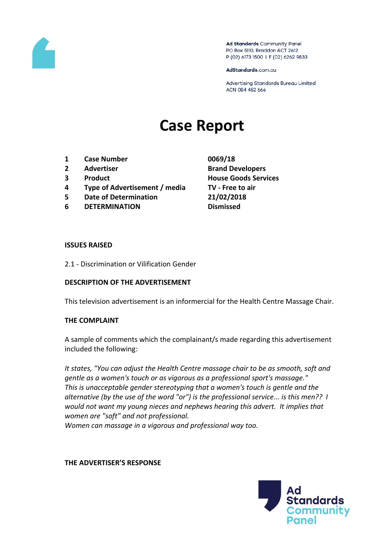

Ad Standards Community Panel PO Box 5110, Braddon ACT 2612 P (02) 6173 1500 | F (02) 6262 9833

AdStandards.com.au

Advertising Standards Bureau Limited ACN 084 452 666

# **Case Report**

- **1 Case Number 0069/18**
- 
- 
- **4 Type of Advertisement / media TV - Free to air**
- **5 Date of Determination 21/02/2018**
- **6 DETERMINATION Dismissed**
- **2 Advertiser Brand Developers 3 Product House Goods Services**

#### **ISSUES RAISED**

2.1 - Discrimination or Vilification Gender

### **DESCRIPTION OF THE ADVERTISEMENT**

This television advertisement is an informercial for the Health Centre Massage Chair.

### **THE COMPLAINT**

A sample of comments which the complainant/s made regarding this advertisement included the following:

*It states, "You can adjust the Health Centre massage chair to be as smooth, soft and gentle as a women's touch or as vigorous as a professional sport's massage." This is unacceptable gender stereotyping that a women's touch is gentle and the alternative (by the use of the word "or") is the professional service... is this men?? I would not want my young nieces and nephews hearing this advert. It implies that women are "soft" and not professional. Women can massage in a vigorous and professional way too.*

**THE ADVERTISER'S RESPONSE**

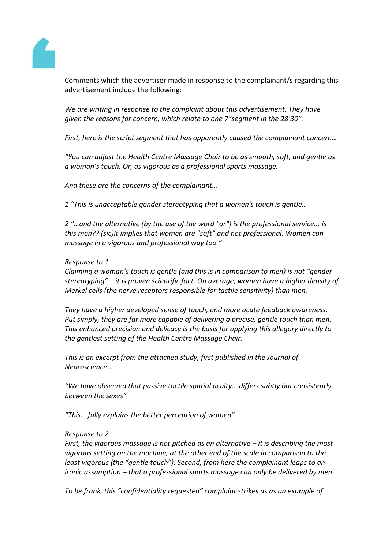

Comments which the advertiser made in response to the complainant/s regarding this advertisement include the following:

*We are writing in response to the complaint about this advertisement. They have given the reasons for concern, which relate to one 7"segment in the 28'30".*

*First, here is the script segment that has apparently caused the complainant concern…*

*"You can adjust the Health Centre Massage Chair to be as smooth, soft, and gentle as a woman's touch. Or, as vigorous as a professional sports massage.*

*And these are the concerns of the complainant…*

*1 "This is unacceptable gender stereotyping that a women's touch is gentle…*

*2 "…and the alternative (by the use of the word "or") is the professional service... is this men?? (sic)It implies that women are "soft" and not professional. Women can massage in a vigorous and professional way too."*

## *Response to 1*

*Claiming a woman's touch is gentle (and this is in comparison to men) is not "gender stereotyping" – it is proven scientific fact. On average, women have a higher density of Merkel cells (the nerve receptors responsible for tactile sensitivity) than men.*

*They have a higher developed sense of touch, and more acute feedback awareness. Put simply, they are far more capable of delivering a precise, gentle touch than men. This enhanced precision and delicacy is the basis for applying this allegory directly to the gentlest setting of the Health Centre Massage Chair.*

*This is an excerpt from the attached study, first published in the Journal of Neuroscience…*

*"We have observed that passive tactile spatial acuity… differs subtly but consistently between the sexes"*

*"This… fully explains the better perception of women"*

### *Response to 2*

*First, the vigorous massage is not pitched as an alternative – it is describing the most vigorous setting on the machine, at the other end of the scale in comparison to the least vigorous (the "gentle touch"). Second, from here the complainant leaps to an ironic assumption – that a professional sports massage can only be delivered by men.*

*To be frank, this "confidentiality requested" complaint strikes us as an example of*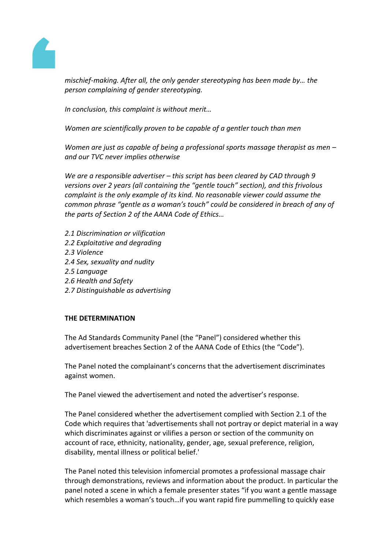

*mischief-making. After all, the only gender stereotyping has been made by… the person complaining of gender stereotyping.*

*In conclusion, this complaint is without merit…*

*Women are scientifically proven to be capable of a gentler touch than men*

*Women are just as capable of being a professional sports massage therapist as men – and our TVC never implies otherwise*

*We are a responsible advertiser – this script has been cleared by CAD through 9 versions over 2 years (all containing the "gentle touch" section), and this frivolous complaint is the only example of its kind. No reasonable viewer could assume the common phrase "gentle as a woman's touch" could be considered in breach of any of the parts of Section 2 of the AANA Code of Ethics…*

- *2.1 Discrimination or vilification*
- *2.2 Exploitative and degrading*
- *2.3 Violence*
- *2.4 Sex, sexuality and nudity*
- *2.5 Language*
- *2.6 Health and Safety*
- *2.7 Distinguishable as advertising*

### **THE DETERMINATION**

The Ad Standards Community Panel (the "Panel") considered whether this advertisement breaches Section 2 of the AANA Code of Ethics (the "Code").

The Panel noted the complainant's concerns that the advertisement discriminates against women.

The Panel viewed the advertisement and noted the advertiser's response.

The Panel considered whether the advertisement complied with Section 2.1 of the Code which requires that 'advertisements shall not portray or depict material in a way which discriminates against or vilifies a person or section of the community on account of race, ethnicity, nationality, gender, age, sexual preference, religion, disability, mental illness or political belief.'

The Panel noted this television infomercial promotes a professional massage chair through demonstrations, reviews and information about the product. In particular the panel noted a scene in which a female presenter states "if you want a gentle massage which resembles a woman's touch…if you want rapid fire pummelling to quickly ease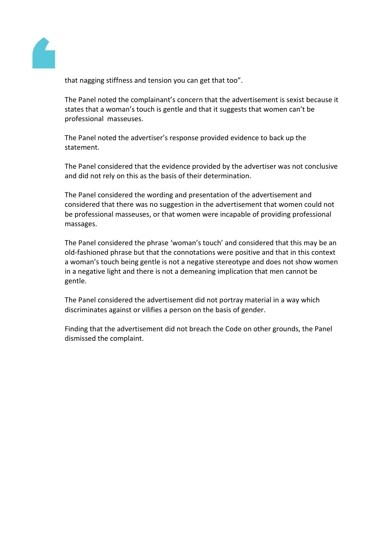

that nagging stiffness and tension you can get that too".

The Panel noted the complainant's concern that the advertisement is sexist because it states that a woman's touch is gentle and that it suggests that women can't be professional masseuses.

The Panel noted the advertiser's response provided evidence to back up the statement.

The Panel considered that the evidence provided by the advertiser was not conclusive and did not rely on this as the basis of their determination.

The Panel considered the wording and presentation of the advertisement and considered that there was no suggestion in the advertisement that women could not be professional masseuses, or that women were incapable of providing professional massages.

The Panel considered the phrase 'woman's touch' and considered that this may be an old-fashioned phrase but that the connotations were positive and that in this context a woman's touch being gentle is not a negative stereotype and does not show women in a negative light and there is not a demeaning implication that men cannot be gentle.

The Panel considered the advertisement did not portray material in a way which discriminates against or vilifies a person on the basis of gender.

Finding that the advertisement did not breach the Code on other grounds, the Panel dismissed the complaint.